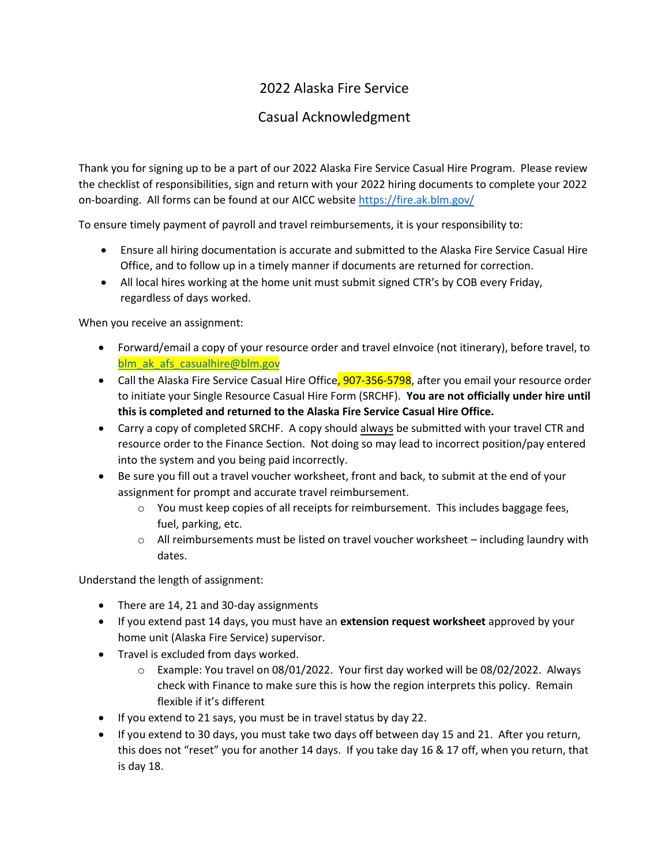## 2022 Alaska Fire Service

## Casual Acknowledgment

Thank you for signing up to be a part of our 2022 Alaska Fire Service Casual Hire Program. Please review the checklist of responsibilities, sign and return with your 2022 hiring documents to complete your 2022 on-boarding. All forms can be found at our AICC website<https://fire.ak.blm.gov/>

To ensure timely payment of payroll and travel reimbursements, it is your responsibility to:

- Ensure all hiring documentation is accurate and submitted to the Alaska Fire Service Casual Hire Office, and to follow up in a timely manner if documents are returned for correction.
- All local hires working at the home unit must submit signed CTR's by COB every Friday, regardless of days worked.

When you receive an assignment:

- Forward/email a copy of your resource order and travel eInvoice (not itinerary), before travel, to blm ak afs casualhire@blm.gov
- Call the Alaska Fire Service Casual Hire Office, 907-356-5798, after you email your resource order to initiate your Single Resource Casual Hire Form (SRCHF). **You are not officially under hire until this is completed and returned to the Alaska Fire Service Casual Hire Office.**
- Carry a copy of completed SRCHF. A copy should always be submitted with your travel CTR and resource order to the Finance Section. Not doing so may lead to incorrect position/pay entered into the system and you being paid incorrectly.
- Be sure you fill out a travel voucher worksheet, front and back, to submit at the end of your assignment for prompt and accurate travel reimbursement.
	- o You must keep copies of all receipts for reimbursement. This includes baggage fees, fuel, parking, etc.
	- o All reimbursements must be listed on travel voucher worksheet including laundry with dates.

Understand the length of assignment:

- There are 14, 21 and 30-day assignments
- If you extend past 14 days, you must have an **extension request worksheet** approved by your home unit (Alaska Fire Service) supervisor.
- Travel is excluded from days worked.
	- o Example: You travel on 08/01/2022. Your first day worked will be 08/02/2022. Always check with Finance to make sure this is how the region interprets this policy. Remain flexible if it's different
- If you extend to 21 says, you must be in travel status by day 22.
- If you extend to 30 days, you must take two days off between day 15 and 21. After you return, this does not "reset" you for another 14 days. If you take day 16 & 17 off, when you return, that is day 18.